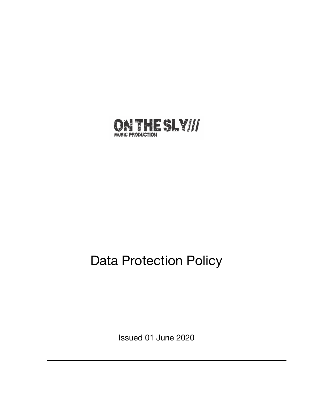

# Data Protection Policy

Issued 01 June 2020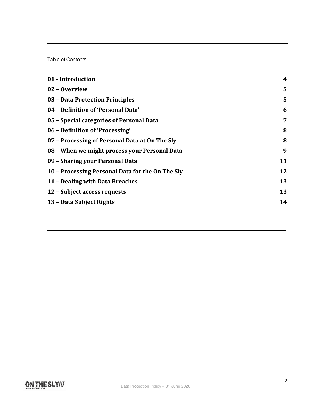Table of Contents

| $\boldsymbol{4}$ |
|------------------|
| 5                |
| 5                |
| 6                |
| 7                |
| 8                |
| 8                |
| 9                |
| 11               |
| 12               |
| 13               |
| 13               |
| 14               |
|                  |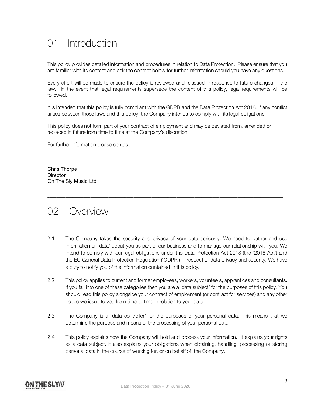### 01 - Introduction

This policy provides detailed information and procedures in relation to Data Protection. Please ensure that you are familiar with its content and ask the contact below for further information should you have any questions.

Every effort will be made to ensure the policy is reviewed and reissued in response to future changes in the law. In the event that legal requirements supersede the content of this policy, legal requirements will be followed.

It is intended that this policy is fully compliant with the GDPR and the Data Protection Act 2018. If any conflict arises between those laws and this policy, the Company intends to comply with its legal obligations.

This policy does not form part of your contract of employment and may be deviated from, amended or replaced in future from time to time at the Company's discretion.

For further information please contact:

Chris Thorpe **Director** On The Sly Music Ltd

02 – Overview

2.1 The Company takes the security and privacy of your data seriously. We need to gather and use information or 'data' about you as part of our business and to manage our relationship with you. We intend to comply with our legal obligations under the Data Protection Act 2018 (the '2018 Act') and the EU General Data Protection Regulation ('GDPR') in respect of data privacy and security. We have a duty to notify you of the information contained in this policy.

**\_\_\_\_\_\_\_\_\_\_\_\_\_\_\_\_\_\_\_\_\_\_\_\_\_\_\_\_\_\_\_\_\_\_\_\_\_\_\_\_\_\_\_\_\_\_\_\_\_\_\_\_\_\_\_\_\_\_\_\_\_\_\_\_\_\_\_\_\_\_\_\_\_\_\_\_\_\_\_\_\_\_\_\_\_\_\_\_\_\_\_\_\_\_\_\_\_\_\_\_\_\_\_\_**

- 2.2 This policy applies to current and former employees, workers, volunteers, apprentices and consultants. If you fall into one of these categories then you are a 'data subject' for the purposes of this policy. You should read this policy alongside your contract of employment (or contract for services) and any other notice we issue to you from time to time in relation to your data.
- 2.3 The Company is a 'data controller' for the purposes of your personal data. This means that we determine the purpose and means of the processing of your personal data.
- 2.4 This policy explains how the Company will hold and process your information. It explains your rights as a data subject. It also explains your obligations when obtaining, handling, processing or storing personal data in the course of working for, or on behalf of, the Company.

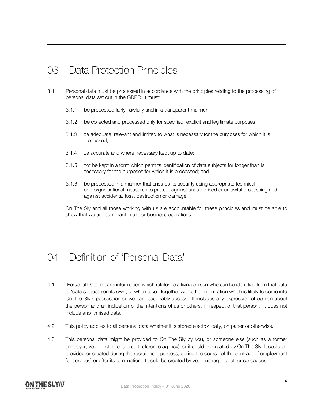# 03 – Data Protection Principles

- 3.1 Personal data must be processed in accordance with the principles relating to the processing of personal data set out in the GDPR. It must:
	- 3.1.1 be processed fairly, lawfully and in a transparent manner;
	- 3.1.2 be collected and processed only for specified, explicit and legitimate purposes;
	- 3.1.3 be adequate, relevant and limited to what is necessary for the purposes for which it is processed;
	- 3.1.4 be accurate and where necessary kept up to date;
	- 3.1.5 not be kept in a form which permits identification of data subjects for longer than is necessary for the purposes for which it is processed; and
	- 3.1.6 be processed in a manner that ensures its security using appropriate technical and organisational measures to protect against unauthorised or unlawful processing and against accidental loss, destruction or damage.

On The Sly and all those working with us are accountable for these principles and must be able to show that we are compliant in all our business operations.

#### 04 – Definition of 'Personal Data'

- 4.1 'Personal Data' means information which relates to a living person who can be identified from that data (a 'data subject') on its own, or when taken together with other information which is likely to come into On The Sly's possession or we can reasonably access. It includes any expression of opinion about the person and an indication of the intentions of us or others, in respect of that person. It does not include anonymised data.
- 4.2 This policy applies to all personal data whether it is stored electronically, on paper or otherwise.
- 4.3 This personal data might be provided to On The Sly by you, or someone else (such as a former employer, your doctor, or a credit reference agency), or it could be created by On The Sly. It could be provided or created during the recruitment process, during the course of the contract of employment (or services) or after its termination. It could be created by your manager or other colleagues.

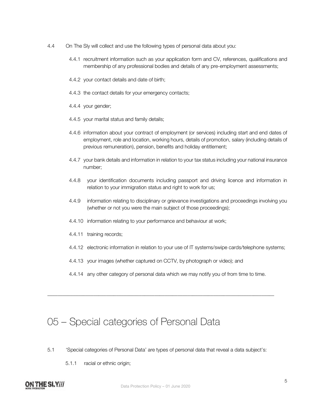- 4.4 On The Sly will collect and use the following types of personal data about you:
	- 4.4.1 recruitment information such as your application form and CV, references, qualifications and membership of any professional bodies and details of any pre-employment assessments;
	- 4.4.2 your contact details and date of birth;
	- 4.4.3 the contact details for your emergency contacts;
	- 4.4.4 your gender;
	- 4.4.5 your marital status and family details;
	- 4.4.6 information about your contract of employment (or services) including start and end dates of employment, role and location, working hours, details of promotion, salary (including details of previous remuneration), pension, benefits and holiday entitlement;
	- 4.4.7 your bank details and information in relation to your tax status including your national insurance number;
	- 4.4.8 your identification documents including passport and driving licence and information in relation to your immigration status and right to work for us;
	- 4.4.9 information relating to disciplinary or grievance investigations and proceedings involving you (whether or not you were the main subject of those proceedings);
	- 4.4.10 information relating to your performance and behaviour at work;
	- 4.4.11 training records;
	- 4.4.12 electronic information in relation to your use of IT systems/swipe cards/telephone systems;
	- 4.4.13 your images (whether captured on CCTV, by photograph or video); and
	- 4.4.14 any other category of personal data which we may notify you of from time to time.

\_\_\_\_\_\_\_\_\_\_\_\_\_\_\_\_\_\_\_\_\_\_\_\_\_\_\_\_\_\_\_\_\_\_\_\_\_\_\_\_\_\_\_\_\_\_\_\_\_\_\_\_\_\_\_\_\_\_\_\_\_\_\_\_\_\_\_\_\_\_\_\_\_\_\_\_\_\_\_\_\_\_\_\_\_\_\_\_\_

### 05 – Special categories of Personal Data

- 5.1 'Special categories of Personal Data' are types of personal data that reveal a data subject's:
	- 5.1.1 racial or ethnic origin;

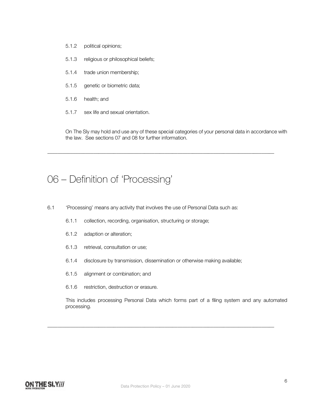- 5.1.2 political opinions;
- 5.1.3 religious or philosophical beliefs;
- 5.1.4 trade union membership;
- 5.1.5 genetic or biometric data;
- 5.1.6 health; and
- 5.1.7 sex life and sexual orientation.

On The Sly may hold and use any of these special categories of your personal data in accordance with the law. See sections 07 and 08 for further information.

\_\_\_\_\_\_\_\_\_\_\_\_\_\_\_\_\_\_\_\_\_\_\_\_\_\_\_\_\_\_\_\_\_\_\_\_\_\_\_\_\_\_\_\_\_\_\_\_\_\_\_\_\_\_\_\_\_\_\_\_\_\_\_\_\_\_\_\_\_\_\_\_\_\_\_\_\_\_\_\_\_\_\_\_\_\_\_\_\_

#### 06 – Definition of 'Processing'

- 6.1 'Processing' means any activity that involves the use of Personal Data such as:
	- 6.1.1 collection, recording, organisation, structuring or storage;
	- 6.1.2 adaption or alteration;
	- 6.1.3 retrieval, consultation or use;
	- 6.1.4 disclosure by transmission, dissemination or otherwise making available;
	- 6.1.5 alignment or combination; and
	- 6.1.6 restriction, destruction or erasure.

This includes processing Personal Data which forms part of a filing system and any automated processing.



\_\_\_\_\_\_\_\_\_\_\_\_\_\_\_\_\_\_\_\_\_\_\_\_\_\_\_\_\_\_\_\_\_\_\_\_\_\_\_\_\_\_\_\_\_\_\_\_\_\_\_\_\_\_\_\_\_\_\_\_\_\_\_\_\_\_\_\_\_\_\_\_\_\_\_\_\_\_\_\_\_\_\_\_\_\_\_\_\_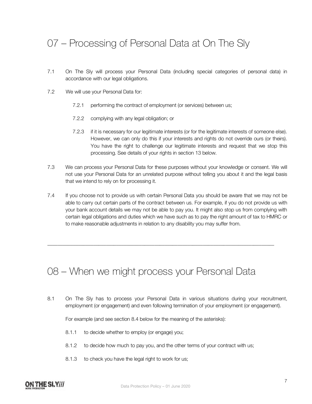# 07 – Processing of Personal Data at On The Sly

- 7.1 On The Sly will process your Personal Data (including special categories of personal data) in accordance with our legal obligations.
- 7.2 We will use your Personal Data for:
	- 7.2.1 performing the contract of employment (or services) between us;
	- 7.2.2 complying with any legal obligation; or
	- 7.2.3 if it is necessary for our legitimate interests (or for the legitimate interests of someone else). However, we can only do this if your interests and rights do not override ours (or theirs). You have the right to challenge our legitimate interests and request that we stop this processing. See details of your rights in section 13 below.
- 7.3 We can process your Personal Data for these purposes without your knowledge or consent. We will not use your Personal Data for an unrelated purpose without telling you about it and the legal basis that we intend to rely on for processing it.
- 7.4 If you choose not to provide us with certain Personal Data you should be aware that we may not be able to carry out certain parts of the contract between us. For example, if you do not provide us with your bank account details we may not be able to pay you. It might also stop us from complying with certain legal obligations and duties which we have such as to pay the right amount of tax to HMRC or to make reasonable adjustments in relation to any disability you may suffer from.

\_\_\_\_\_\_\_\_\_\_\_\_\_\_\_\_\_\_\_\_\_\_\_\_\_\_\_\_\_\_\_\_\_\_\_\_\_\_\_\_\_\_\_\_\_\_\_\_\_\_\_\_\_\_\_\_\_\_\_\_\_\_\_\_\_\_\_\_\_\_\_\_\_\_\_\_\_\_\_\_\_\_\_\_\_\_\_\_\_

### 08 – When we might process your Personal Data

8.1 On The Sly has to process your Personal Data in various situations during your recruitment, employment (or engagement) and even following termination of your employment (or engagement).

For example (and see section 8.4 below for the meaning of the asterisks):

- 8.1.1 to decide whether to employ (or engage) you;
- 8.1.2 to decide how much to pay you, and the other terms of your contract with us;
- 8.1.3 to check you have the legal right to work for us;

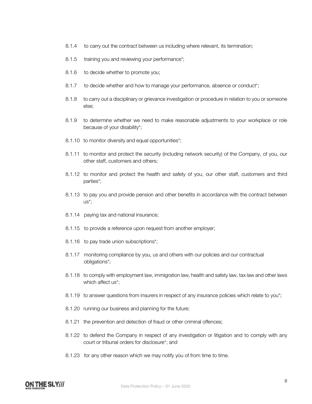- 8.1.4 to carry out the contract between us including where relevant, its termination;
- 8.1.5 training you and reviewing your performance<sup>\*</sup>;
- 8.1.6 to decide whether to promote you;
- 8.1.7 to decide whether and how to manage your performance, absence or conduct<sup>\*</sup>;
- 8.1.8 to carry out a disciplinary or grievance investigation or procedure in relation to you or someone else;
- 8.1.9 to determine whether we need to make reasonable adjustments to your workplace or role because of your disability\*;
- 8.1.10 to monitor diversity and equal opportunities\*;
- 8.1.11 to monitor and protect the security (including network security) of the Company, of you, our other staff, customers and others;
- 8.1.12 to monitor and protect the health and safety of you, our other staff, customers and third parties\*;
- 8.1.13 to pay you and provide pension and other benefits in accordance with the contract between us\*;
- 8.1.14 paying tax and national insurance;
- 8.1.15 to provide a reference upon request from another employer;
- 8.1.16 to pay trade union subscriptions\*;
- 8.1.17 monitoring compliance by you, us and others with our policies and our contractual obligations\*;
- 8.1.18 to comply with employment law, immigration law, health and safety law, tax law and other laws which affect us\*:
- 8.1.19 to answer questions from insurers in respect of any insurance policies which relate to you\*;
- 8.1.20 running our business and planning for the future;
- 8.1.21 the prevention and detection of fraud or other criminal offences;
- 8.1.22 to defend the Company in respect of any investigation or litigation and to comply with any court or tribunal orders for disclosure\*; and
- 8.1.23 for any other reason which we may notify you of from time to time.

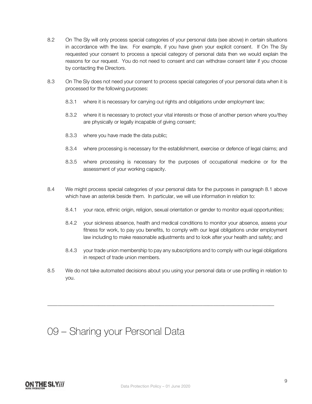- 8.2 On The Sly will only process special categories of your personal data (see above) in certain situations in accordance with the law. For example, if you have given your explicit consent. If On The Sly requested your consent to process a special category of personal data then we would explain the reasons for our request. You do not need to consent and can withdraw consent later if you choose by contacting the Directors.
- 8.3 On The Sly does not need your consent to process special categories of your personal data when it is processed for the following purposes:
	- 8.3.1 where it is necessary for carrying out rights and obligations under employment law;
	- 8.3.2 where it is necessary to protect your vital interests or those of another person where you/they are physically or legally incapable of giving consent;
	- 8.3.3 where you have made the data public;
	- 8.3.4 where processing is necessary for the establishment, exercise or defence of legal claims; and
	- 8.3.5 where processing is necessary for the purposes of occupational medicine or for the assessment of your working capacity.
- 8.4 We might process special categories of your personal data for the purposes in paragraph 8.1 above which have an asterisk beside them. In particular, we will use information in relation to:
	- 8.4.1 your race, ethnic origin, religion, sexual orientation or gender to monitor equal opportunities;
	- 8.4.2 your sickness absence, health and medical conditions to monitor your absence, assess your fitness for work, to pay you benefits, to comply with our legal obligations under employment law including to make reasonable adjustments and to look after your health and safety; and
	- 8.4.3 your trade union membership to pay any subscriptions and to comply with our legal obligations in respect of trade union members.
- 8.5 We do not take automated decisions about you using your personal data or use profiling in relation to you.

\_\_\_\_\_\_\_\_\_\_\_\_\_\_\_\_\_\_\_\_\_\_\_\_\_\_\_\_\_\_\_\_\_\_\_\_\_\_\_\_\_\_\_\_\_\_\_\_\_\_\_\_\_\_\_\_\_\_\_\_\_\_\_\_\_\_\_\_\_\_\_\_\_\_\_\_\_\_\_\_\_\_\_\_\_\_\_\_\_

# 09 – Sharing your Personal Data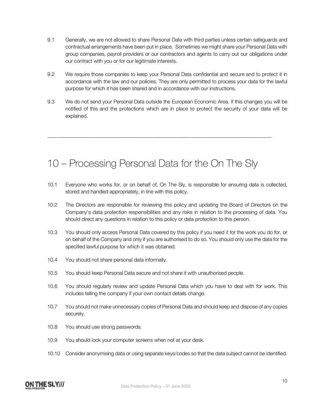- 9.1 Generally, we are not allowed to share Personal Data with third parties unless certain safeguards and contractual arrangements have been put in place. Sometimes we might share your Personal Data with group companies, payroll providers or our contractors and agents to carry out our obligations under our contract with you or for our legitimate interests.
- 9.2 We require those companies to keep your Personal Data confidential and secure and to protect it in accordance with the law and our policies. They are only permitted to process your data for the lawful purpose for which it has been shared and in accordance with our instructions.
- 9.3 We do not send your Personal Data outside the European Economic Area. If this changes you will be notified of this and the protections which are in place to protect the security of your data will be explained.

### 10 – Processing Personal Data for the On The Sly

\_\_\_\_\_\_\_\_\_\_\_\_\_\_\_\_\_\_\_\_\_\_\_\_\_\_\_\_\_\_\_\_\_\_\_\_\_\_\_\_\_\_\_\_\_\_\_\_\_\_\_\_\_\_\_\_\_\_\_\_\_\_\_\_\_\_\_\_\_\_\_\_\_\_\_\_\_\_\_\_\_\_\_\_\_\_\_\_

- 10.1 Everyone who works for, or on behalf of, On The Sly, is responsible for ensuring data is collected, stored and handled appropriately, in line with this policy.
- 10.2 The Directors are responsible for reviewing this policy and updating the Board of Directors on the Company's data protection responsibilities and any risks in relation to the processing of data. You should direct any questions in relation to this policy or data protection to this person.
- 10.3 You should only access Personal Data covered by this policy if you need it for the work you do for, or on behalf of the Company and only if you are authorised to do so. You should only use the data for the specified lawful purpose for which it was obtained.
- 10.4 You should not share personal data informally.
- 10.5 You should keep Personal Data secure and not share it with unauthorised people.
- 10.6 You should regularly review and update Personal Data which you have to deal with for work. This includes telling the company if your own contact details change.
- 10.7 You should not make unnecessary copies of Personal Data and should keep and dispose of any copies securely.
- 10.8 You should use strong passwords.
- 10.9 You should lock your computer screens when not at your desk.
- 10.10 Consider anonymising data or using separate keys/codes so that the data subject cannot be identified.

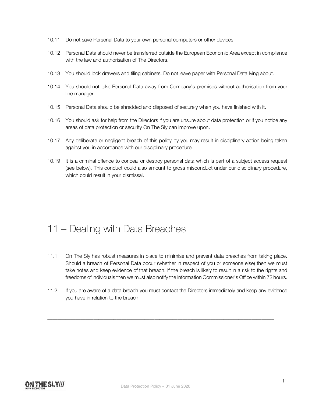- 10.11 Do not save Personal Data to your own personal computers or other devices.
- 10.12 Personal Data should never be transferred outside the European Economic Area except in compliance with the law and authorisation of The Directors.
- 10.13 You should lock drawers and filing cabinets. Do not leave paper with Personal Data lying about.
- 10.14 You should not take Personal Data away from Company's premises without authorisation from your line manager.
- 10.15 Personal Data should be shredded and disposed of securely when you have finished with it.
- 10.16 You should ask for help from the Directors if you are unsure about data protection or if you notice any areas of data protection or security On The Sly can improve upon.
- 10.17 Any deliberate or negligent breach of this policy by you may result in disciplinary action being taken against you in accordance with our disciplinary procedure.
- 10.19 It is a criminal offence to conceal or destroy personal data which is part of a subject access request (see below). This conduct could also amount to gross misconduct under our disciplinary procedure, which could result in your dismissal.

\_\_\_\_\_\_\_\_\_\_\_\_\_\_\_\_\_\_\_\_\_\_\_\_\_\_\_\_\_\_\_\_\_\_\_\_\_\_\_\_\_\_\_\_\_\_\_\_\_\_\_\_\_\_\_\_\_\_\_\_\_\_\_\_\_\_\_\_\_\_\_\_\_\_\_\_\_\_\_\_\_\_\_\_\_\_\_\_\_

#### 11 – Dealing with Data Breaches

- 11.1 On The Sly has robust measures in place to minimise and prevent data breaches from taking place. Should a breach of Personal Data occur (whether in respect of you or someone else) then we must take notes and keep evidence of that breach. If the breach is likely to result in a risk to the rights and freedoms of individuals then we must also notify the Information Commissioner's Office within 72 hours.
- 11.2 If you are aware of a data breach you must contact the Directors immediately and keep any evidence you have in relation to the breach.

\_\_\_\_\_\_\_\_\_\_\_\_\_\_\_\_\_\_\_\_\_\_\_\_\_\_\_\_\_\_\_\_\_\_\_\_\_\_\_\_\_\_\_\_\_\_\_\_\_\_\_\_\_\_\_\_\_\_\_\_\_\_\_\_\_\_\_\_\_\_\_\_\_\_\_\_\_\_\_\_\_\_\_\_\_\_\_\_\_

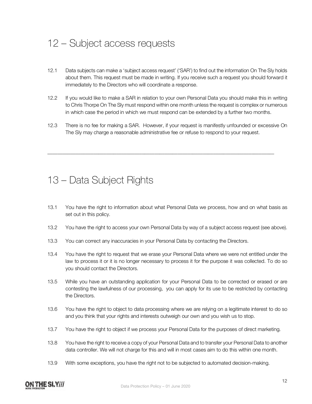# 12 – Subject access requests

- 12.1 Data subjects can make a 'subject access request' ('SAR') to find out the information On The Sly holds about them. This request must be made in writing. If you receive such a request you should forward it immediately to the Directors who will coordinate a response.
- 12.2 If you would like to make a SAR in relation to your own Personal Data you should make this in writing to Chris Thorpe On The Sly must respond within one month unless the request is complex or numerous in which case the period in which we must respond can be extended by a further two months.
- 12.3 There is no fee for making a SAR. However, if your request is manifestly unfounded or excessive On The Sly may charge a reasonable administrative fee or refuse to respond to your request.

\_\_\_\_\_\_\_\_\_\_\_\_\_\_\_\_\_\_\_\_\_\_\_\_\_\_\_\_\_\_\_\_\_\_\_\_\_\_\_\_\_\_\_\_\_\_\_\_\_\_\_\_\_\_\_\_\_\_\_\_\_\_\_\_\_\_\_\_\_\_\_\_\_\_\_\_\_\_\_\_\_\_\_\_\_\_\_\_\_

#### 13 – Data Subject Rights

- 13.1 You have the right to information about what Personal Data we process, how and on what basis as set out in this policy.
- 13.2 You have the right to access your own Personal Data by way of a subject access request (see above).
- 13.3 You can correct any inaccuracies in your Personal Data by contacting the Directors.
- 13.4 You have the right to request that we erase your Personal Data where we were not entitled under the law to process it or it is no longer necessary to process it for the purpose it was collected. To do so you should contact the Directors.
- 13.5 While you have an outstanding application for your Personal Data to be corrected or erased or are contesting the lawfulness of our processing, you can apply for its use to be restricted by contacting the Directors.
- 13.6 You have the right to object to data processing where we are relying on a legitimate interest to do so and you think that your rights and interests outweigh our own and you wish us to stop.
- 13.7 You have the right to object if we process your Personal Data for the purposes of direct marketing.
- 13.8 You have the right to receive a copy of your Personal Data and to transfer your Personal Data to another data controller. We will not charge for this and will in most cases aim to do this within one month.
- 13.9 With some exceptions, you have the right not to be subjected to automated decision-making.